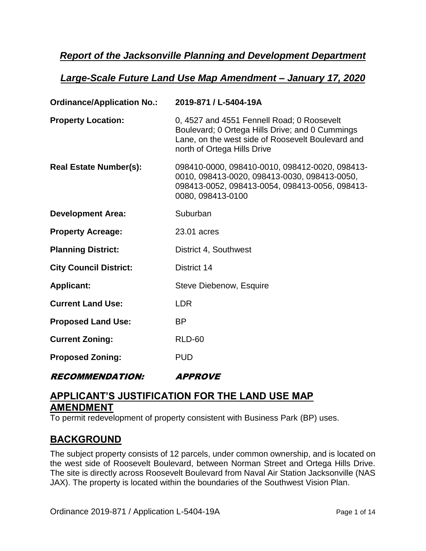# *Report of the Jacksonville Planning and Development Department*

## *Large-Scale Future Land Use Map Amendment – January 17, 2020*

| <b>Ordinance/Application No.:</b> | 2019-871 / L-5404-19A                                                                                                                                                             |
|-----------------------------------|-----------------------------------------------------------------------------------------------------------------------------------------------------------------------------------|
| <b>Property Location:</b>         | 0, 4527 and 4551 Fennell Road; 0 Roosevelt<br>Boulevard; 0 Ortega Hills Drive; and 0 Cummings<br>Lane, on the west side of Roosevelt Boulevard and<br>north of Ortega Hills Drive |
| <b>Real Estate Number(s):</b>     | 098410-0000, 098410-0010, 098412-0020, 098413-<br>0010, 098413-0020, 098413-0030, 098413-0050,<br>098413-0052, 098413-0054, 098413-0056, 098413-<br>0080, 098413-0100             |
| <b>Development Area:</b>          | Suburban                                                                                                                                                                          |
| <b>Property Acreage:</b>          | 23.01 acres                                                                                                                                                                       |
| <b>Planning District:</b>         | District 4, Southwest                                                                                                                                                             |
| <b>City Council District:</b>     | District 14                                                                                                                                                                       |
| <b>Applicant:</b>                 | Steve Diebenow, Esquire                                                                                                                                                           |
| <b>Current Land Use:</b>          | <b>LDR</b>                                                                                                                                                                        |
| <b>Proposed Land Use:</b>         | <b>BP</b>                                                                                                                                                                         |
| <b>Current Zoning:</b>            | <b>RLD-60</b>                                                                                                                                                                     |
| <b>Proposed Zoning:</b>           | <b>PUD</b>                                                                                                                                                                        |
| <i><b>RECOMMENDATION:</b></i>     | <i><b>APPROVE</b></i>                                                                                                                                                             |

# **APPLICANT'S JUSTIFICATION FOR THE LAND USE MAP AMENDMENT**

To permit redevelopment of property consistent with Business Park (BP) uses.

# **BACKGROUND**

The subject property consists of 12 parcels, under common ownership, and is located on the west side of Roosevelt Boulevard, between Norman Street and Ortega Hills Drive. The site is directly across Roosevelt Boulevard from Naval Air Station Jacksonville (NAS JAX). The property is located within the boundaries of the Southwest Vision Plan.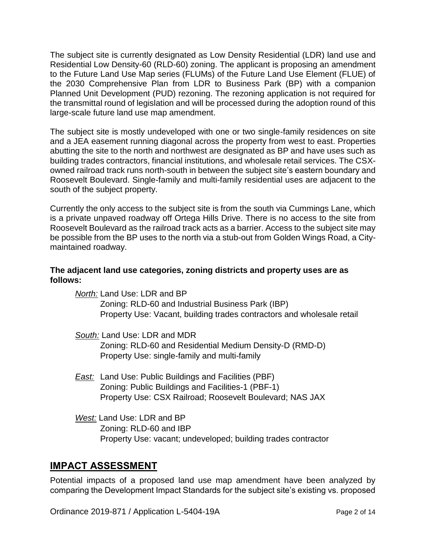The subject site is currently designated as Low Density Residential (LDR) land use and Residential Low Density-60 (RLD-60) zoning. The applicant is proposing an amendment to the Future Land Use Map series (FLUMs) of the Future Land Use Element (FLUE) of the 2030 Comprehensive Plan from LDR to Business Park (BP) with a companion Planned Unit Development (PUD) rezoning. The rezoning application is not required for the transmittal round of legislation and will be processed during the adoption round of this large-scale future land use map amendment.

The subject site is mostly undeveloped with one or two single-family residences on site and a JEA easement running diagonal across the property from west to east. Properties abutting the site to the north and northwest are designated as BP and have uses such as building trades contractors, financial institutions, and wholesale retail services. The CSXowned railroad track runs north-south in between the subject site's eastern boundary and Roosevelt Boulevard. Single-family and multi-family residential uses are adjacent to the south of the subject property.

Currently the only access to the subject site is from the south via Cummings Lane, which is a private unpaved roadway off Ortega Hills Drive. There is no access to the site from Roosevelt Boulevard as the railroad track acts as a barrier. Access to the subject site may be possible from the BP uses to the north via a stub-out from Golden Wings Road, a Citymaintained roadway.

### **The adjacent land use categories, zoning districts and property uses are as follows:**

*North:* Land Use: LDR and BP

Zoning: RLD-60 and Industrial Business Park (IBP) Property Use: Vacant, building trades contractors and wholesale retail

- *South:* Land Use: LDR and MDR Zoning: RLD-60 and Residential Medium Density-D (RMD-D) Property Use: single-family and multi-family
- *East:* Land Use: Public Buildings and Facilities (PBF) Zoning: Public Buildings and Facilities-1 (PBF-1) Property Use: CSX Railroad; Roosevelt Boulevard; NAS JAX
- *West:* Land Use: LDR and BP Zoning: RLD-60 and IBP Property Use: vacant; undeveloped; building trades contractor

# **IMPACT ASSESSMENT**

Potential impacts of a proposed land use map amendment have been analyzed by comparing the Development Impact Standards for the subject site's existing vs. proposed

Ordinance 2019-871 / Application L-5404-19A Page 2 of 14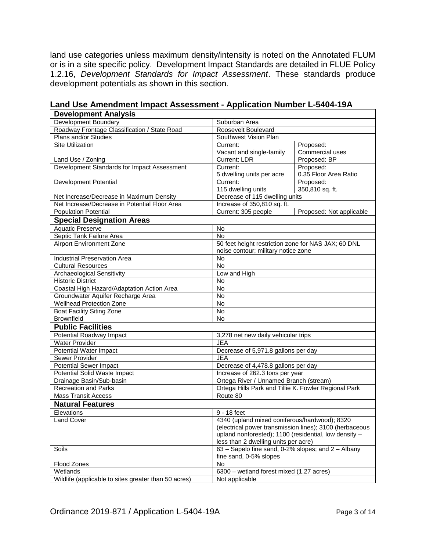land use categories unless maximum density/intensity is noted on the Annotated FLUM or is in a site specific policy. Development Impact Standards are detailed in FLUE Policy 1.2.16, *Development Standards for Impact Assessment*. These standards produce development potentials as shown in this section.

| Development Boundary<br>Suburban Area                |                                                         |                          |  |
|------------------------------------------------------|---------------------------------------------------------|--------------------------|--|
| Roadway Frontage Classification / State Road         | Roosevelt Boulevard                                     |                          |  |
| Plans and/or Studies                                 | Southwest Vision Plan                                   |                          |  |
| <b>Site Utilization</b>                              | Current:                                                | Proposed:                |  |
|                                                      | Vacant and single-family                                | Commercial uses          |  |
| Land Use / Zoning                                    | <b>Current: LDR</b>                                     | Proposed: BP             |  |
| Development Standards for Impact Assessment          | Current:                                                | Proposed:                |  |
|                                                      | 5 dwelling units per acre                               | 0.35 Floor Area Ratio    |  |
| Development Potential                                | Current:                                                | Proposed:                |  |
|                                                      | 115 dwelling units                                      | 350,810 sq. ft.          |  |
| Net Increase/Decrease in Maximum Density             | Decrease of 115 dwelling units                          |                          |  |
| Net Increase/Decrease in Potential Floor Area        | Increase of 350,810 sq. ft.                             |                          |  |
| <b>Population Potential</b>                          | Current: 305 people                                     | Proposed: Not applicable |  |
| <b>Special Designation Areas</b>                     |                                                         |                          |  |
| <b>Aquatic Preserve</b>                              | <b>No</b>                                               |                          |  |
| Septic Tank Failure Area                             | No                                                      |                          |  |
| <b>Airport Environment Zone</b>                      | 50 feet height restriction zone for NAS JAX; 60 DNL     |                          |  |
|                                                      | noise contour; military notice zone                     |                          |  |
| Industrial Preservation Area                         | No                                                      |                          |  |
| <b>Cultural Resources</b>                            | No                                                      |                          |  |
| Archaeological Sensitivity                           | Low and High                                            |                          |  |
| <b>Historic District</b>                             | <b>No</b>                                               |                          |  |
| Coastal High Hazard/Adaptation Action Area           | <b>No</b>                                               |                          |  |
| Groundwater Aquifer Recharge Area                    | No                                                      |                          |  |
| <b>Wellhead Protection Zone</b>                      | $\overline{N}$                                          |                          |  |
| <b>Boat Facility Siting Zone</b>                     | No                                                      |                          |  |
| <b>Brownfield</b>                                    | No                                                      |                          |  |
| <b>Public Facilities</b>                             |                                                         |                          |  |
| Potential Roadway Impact                             | 3,278 net new daily vehicular trips                     |                          |  |
| <b>Water Provider</b>                                | <b>JEA</b>                                              |                          |  |
| Potential Water Impact                               | Decrease of 5,971.8 gallons per day                     |                          |  |
| Sewer Provider                                       | <b>JEA</b>                                              |                          |  |
| <b>Potential Sewer Impact</b>                        | Decrease of 4,478.8 gallons per day                     |                          |  |
| Potential Solid Waste Impact                         | Increase of 262.3 tons per year                         |                          |  |
| Drainage Basin/Sub-basin                             | Ortega River / Unnamed Branch (stream)                  |                          |  |
| <b>Recreation and Parks</b>                          | Ortega Hills Park and Tillie K. Fowler Regional Park    |                          |  |
| <b>Mass Transit Access</b>                           | Route 80                                                |                          |  |
| <b>Natural Features</b>                              |                                                         |                          |  |
| Elevations                                           | 9 - 18 feet                                             |                          |  |
| <b>Land Cover</b>                                    | 4340 (upland mixed coniferous/hardwood); 8320           |                          |  |
|                                                      | (electrical power transmission lines); 3100 (herbaceous |                          |  |
|                                                      | upland nonforested); 1100 (residential, low density -   |                          |  |
|                                                      | less than 2 dwelling units per acre)                    |                          |  |
| Soils                                                | 63 - Sapelo fine sand, 0-2% slopes; and 2 - Albany      |                          |  |
|                                                      | fine sand, 0-5% slopes                                  |                          |  |
| Flood Zones                                          | No                                                      |                          |  |
| Wetlands                                             | 6300 - wetland forest mixed (1.27 acres)                |                          |  |
| Wildlife (applicable to sites greater than 50 acres) | Not applicable                                          |                          |  |

**Land Use Amendment Impact Assessment - Application Number L-5404-19A Development Analysis**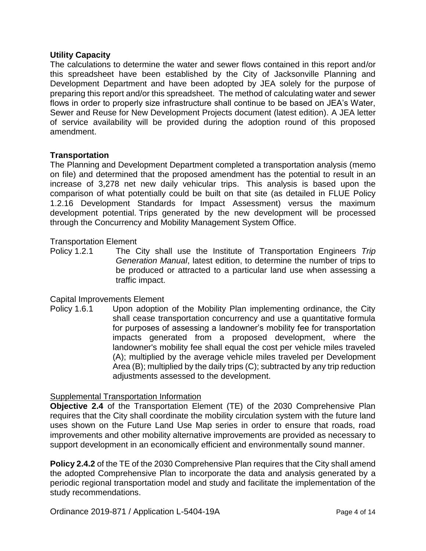#### **Utility Capacity**

The calculations to determine the water and sewer flows contained in this report and/or this spreadsheet have been established by the City of Jacksonville Planning and Development Department and have been adopted by JEA solely for the purpose of preparing this report and/or this spreadsheet. The method of calculating water and sewer flows in order to properly size infrastructure shall continue to be based on JEA's Water, Sewer and Reuse for New Development Projects document (latest edition). A JEA letter of service availability will be provided during the adoption round of this proposed amendment.

#### **Transportation**

The Planning and Development Department completed a transportation analysis (memo on file) and determined that the proposed amendment has the potential to result in an increase of 3,278 net new daily vehicular trips. This analysis is based upon the comparison of what potentially could be built on that site (as detailed in FLUE Policy 1.2.16 Development Standards for Impact Assessment) versus the maximum development potential. Trips generated by the new development will be processed through the Concurrency and Mobility Management System Office.

#### Transportation Element

Policy 1.2.1 The City shall use the Institute of Transportation Engineers *Trip Generation Manual*, latest edition, to determine the number of trips to be produced or attracted to a particular land use when assessing a traffic impact.

#### Capital Improvements Element

Policy 1.6.1 Upon adoption of the Mobility Plan implementing ordinance, the City shall cease transportation concurrency and use a quantitative formula for purposes of assessing a landowner's mobility fee for transportation impacts generated from a proposed development, where the landowner's mobility fee shall equal the cost per vehicle miles traveled (A); multiplied by the average vehicle miles traveled per Development Area (B); multiplied by the daily trips (C); subtracted by any trip reduction adjustments assessed to the development.

#### Supplemental Transportation Information

**Objective 2.4** of the Transportation Element (TE) of the 2030 Comprehensive Plan requires that the City shall coordinate the mobility circulation system with the future land uses shown on the Future Land Use Map series in order to ensure that roads, road improvements and other mobility alternative improvements are provided as necessary to support development in an economically efficient and environmentally sound manner.

**Policy 2.4.2** of the TE of the 2030 Comprehensive Plan requires that the City shall amend the adopted Comprehensive Plan to incorporate the data and analysis generated by a periodic regional transportation model and study and facilitate the implementation of the study recommendations.

Ordinance 2019-871 / Application L-5404-19A Page 4 of 14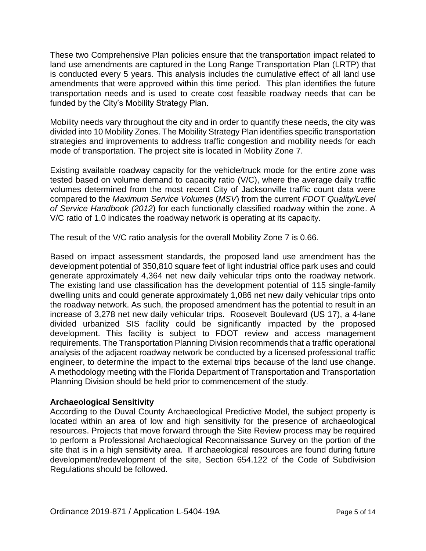These two Comprehensive Plan policies ensure that the transportation impact related to land use amendments are captured in the Long Range Transportation Plan (LRTP) that is conducted every 5 years. This analysis includes the cumulative effect of all land use amendments that were approved within this time period. This plan identifies the future transportation needs and is used to create cost feasible roadway needs that can be funded by the City's Mobility Strategy Plan.

Mobility needs vary throughout the city and in order to quantify these needs, the city was divided into 10 Mobility Zones. The Mobility Strategy Plan identifies specific transportation strategies and improvements to address traffic congestion and mobility needs for each mode of transportation. The project site is located in Mobility Zone 7.

Existing available roadway capacity for the vehicle/truck mode for the entire zone was tested based on volume demand to capacity ratio (V/C), where the average daily traffic volumes determined from the most recent City of Jacksonville traffic count data were compared to the *Maximum Service Volumes* (*MSV*) from the current *FDOT Quality/Level of Service Handbook (2012*) for each functionally classified roadway within the zone. A V/C ratio of 1.0 indicates the roadway network is operating at its capacity.

The result of the V/C ratio analysis for the overall Mobility Zone 7 is 0.66.

Based on impact assessment standards, the proposed land use amendment has the development potential of 350,810 square feet of light industrial office park uses and could generate approximately 4,364 net new daily vehicular trips onto the roadway network. The existing land use classification has the development potential of 115 single-family dwelling units and could generate approximately 1,086 net new daily vehicular trips onto the roadway network. As such, the proposed amendment has the potential to result in an increase of 3,278 net new daily vehicular trips. Roosevelt Boulevard (US 17), a 4-lane divided urbanized SIS facility could be significantly impacted by the proposed development. This facility is subject to FDOT review and access management requirements. The Transportation Planning Division recommends that a traffic operational analysis of the adjacent roadway network be conducted by a licensed professional traffic engineer, to determine the impact to the external trips because of the land use change. A methodology meeting with the Florida Department of Transportation and Transportation Planning Division should be held prior to commencement of the study.

### **Archaeological Sensitivity**

According to the Duval County Archaeological Predictive Model, the subject property is located within an area of low and high sensitivity for the presence of archaeological resources. Projects that move forward through the Site Review process may be required to perform a Professional Archaeological Reconnaissance Survey on the portion of the site that is in a high sensitivity area. If archaeological resources are found during future development/redevelopment of the site, Section 654.122 of the Code of Subdivision Regulations should be followed.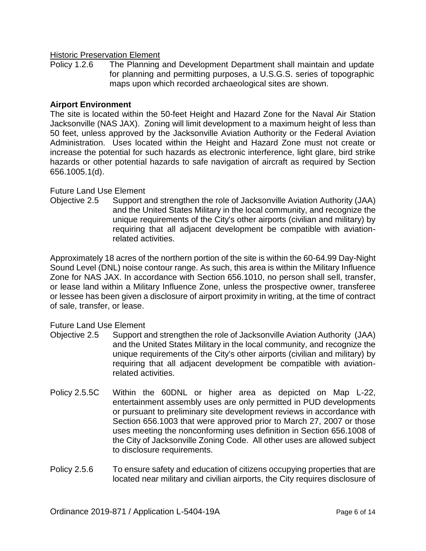#### **Historic Preservation Element**

Policy 1.2.6 The Planning and Development Department shall maintain and update for planning and permitting purposes, a U.S.G.S. series of topographic maps upon which recorded archaeological sites are shown.

#### **Airport Environment**

The site is located within the 50-feet Height and Hazard Zone for the Naval Air Station Jacksonville (NAS JAX). Zoning will limit development to a maximum height of less than 50 feet, unless approved by the Jacksonville Aviation Authority or the Federal Aviation Administration. Uses located within the Height and Hazard Zone must not create or increase the potential for such hazards as electronic interference, light glare, bird strike hazards or other potential hazards to safe navigation of aircraft as required by Section 656.1005.1(d).

#### Future Land Use Element

Objective 2.5 Support and strengthen the role of Jacksonville Aviation Authority (JAA) and the United States Military in the local community, and recognize the unique requirements of the City's other airports (civilian and military) by requiring that all adjacent development be compatible with aviationrelated activities.

Approximately 18 acres of the northern portion of the site is within the 60-64.99 Day-Night Sound Level (DNL) noise contour range. As such, this area is within the Military Influence Zone for NAS JAX. In accordance with Section 656.1010, no person shall sell, transfer, or lease land within a Military Influence Zone, unless the prospective owner, transferee or lessee has been given a disclosure of airport proximity in writing, at the time of contract of sale, transfer, or lease.

#### Future Land Use Element

- Objective 2.5 Support and strengthen the role of Jacksonville Aviation Authority (JAA) and the United States Military in the local community, and recognize the unique requirements of the City's other airports (civilian and military) by requiring that all adjacent development be compatible with aviationrelated activities.
- Policy 2.5.5C Within the 60DNL or higher area as depicted on Map L-22, entertainment assembly uses are only permitted in PUD developments or pursuant to preliminary site development reviews in accordance with Section 656.1003 that were approved prior to March 27, 2007 or those uses meeting the nonconforming uses definition in Section 656.1008 of the City of Jacksonville Zoning Code. All other uses are allowed subject to disclosure requirements.
- Policy 2.5.6 To ensure safety and education of citizens occupying properties that are located near military and civilian airports, the City requires disclosure of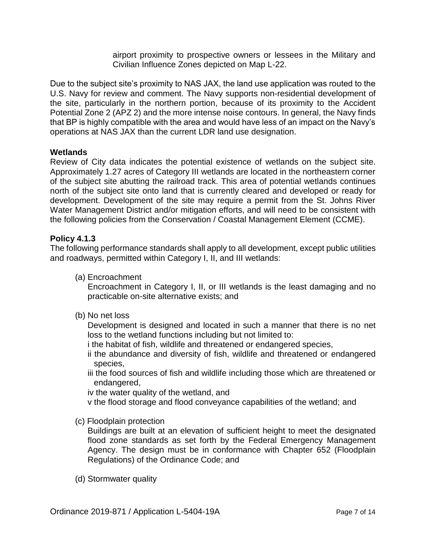airport proximity to prospective owners or lessees in the Military and Civilian Influence Zones depicted on Map L-22.

Due to the subject site's proximity to NAS JAX, the land use application was routed to the U.S. Navy for review and comment. The Navy supports non-residential development of the site, particularly in the northern portion, because of its proximity to the Accident Potential Zone 2 (APZ 2) and the more intense noise contours. In general, the Navy finds that BP is highly compatible with the area and would have less of an impact on the Navy's operations at NAS JAX than the current LDR land use designation.

#### **Wetlands**

Review of City data indicates the potential existence of wetlands on the subject site. Approximately 1.27 acres of Category III wetlands are located in the northeastern corner of the subject site abutting the railroad track. This area of potential wetlands continues north of the subject site onto land that is currently cleared and developed or ready for development. Development of the site may require a permit from the St. Johns River Water Management District and/or mitigation efforts, and will need to be consistent with the following policies from the Conservation / Coastal Management Element (CCME).

#### **Policy 4.1.3**

The following performance standards shall apply to all development, except public utilities and roadways, permitted within Category I, II, and III wetlands:

(a) Encroachment

Encroachment in Category I, II, or III wetlands is the least damaging and no practicable on-site alternative exists; and

(b) No net loss

Development is designed and located in such a manner that there is no net loss to the wetland functions including but not limited to:

- i the habitat of fish, wildlife and threatened or endangered species,
- ii the abundance and diversity of fish, wildlife and threatened or endangered species,

iii the food sources of fish and wildlife including those which are threatened or endangered,

iv the water quality of the wetland, and

v the flood storage and flood conveyance capabilities of the wetland; and

(c) Floodplain protection

Buildings are built at an elevation of sufficient height to meet the designated flood zone standards as set forth by the Federal Emergency Management Agency. The design must be in conformance with Chapter 652 (Floodplain Regulations) of the Ordinance Code; and

(d) Stormwater quality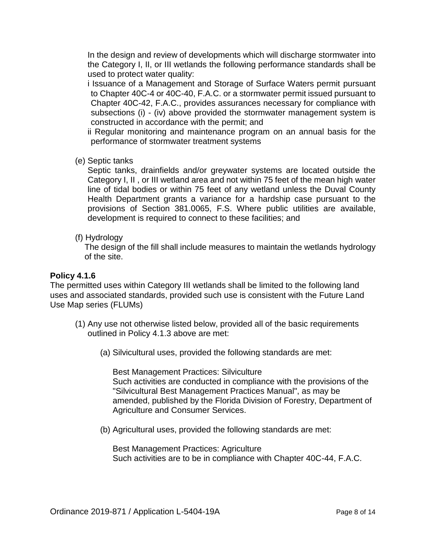In the design and review of developments which will discharge stormwater into the Category I, II, or III wetlands the following performance standards shall be used to protect water quality:

i Issuance of a Management and Storage of Surface Waters permit pursuant to Chapter 40C-4 or 40C-40, F.A.C. or a stormwater permit issued pursuant to Chapter 40C-42, F.A.C., provides assurances necessary for compliance with subsections (i) - (iv) above provided the stormwater management system is constructed in accordance with the permit; and

ii Regular monitoring and maintenance program on an annual basis for the performance of stormwater treatment systems

(e) Septic tanks

Septic tanks, drainfields and/or greywater systems are located outside the Category I, II , or III wetland area and not within 75 feet of the mean high water line of tidal bodies or within 75 feet of any wetland unless the Duval County Health Department grants a variance for a hardship case pursuant to the provisions of Section 381.0065, F.S. Where public utilities are available, development is required to connect to these facilities; and

(f) Hydrology

The design of the fill shall include measures to maintain the wetlands hydrology of the site.

### **Policy 4.1.6**

The permitted uses within Category III wetlands shall be limited to the following land uses and associated standards, provided such use is consistent with the Future Land Use Map series (FLUMs)

- (1) Any use not otherwise listed below, provided all of the basic requirements outlined in Policy 4.1.3 above are met:
	- (a) Silvicultural uses, provided the following standards are met:

Best Management Practices: Silviculture Such activities are conducted in compliance with the provisions of the "Silvicultural Best Management Practices Manual", as may be amended, published by the Florida Division of Forestry, Department of Agriculture and Consumer Services.

(b) Agricultural uses, provided the following standards are met:

Best Management Practices: Agriculture Such activities are to be in compliance with Chapter 40C-44, F.A.C.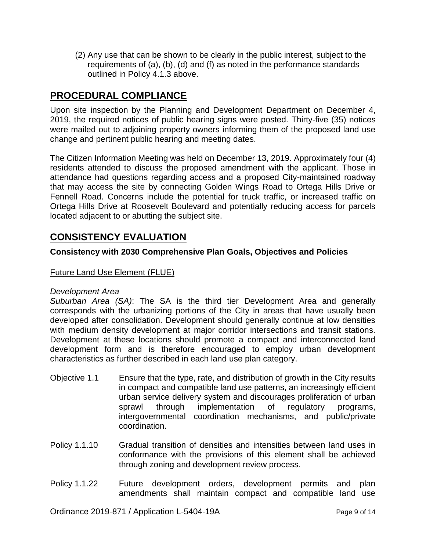(2) Any use that can be shown to be clearly in the public interest, subject to the requirements of (a), (b), (d) and (f) as noted in the performance standards outlined in Policy 4.1.3 above.

# **PROCEDURAL COMPLIANCE**

Upon site inspection by the Planning and Development Department on December 4, 2019, the required notices of public hearing signs were posted. Thirty-five (35) notices were mailed out to adjoining property owners informing them of the proposed land use change and pertinent public hearing and meeting dates.

The Citizen Information Meeting was held on December 13, 2019. Approximately four (4) residents attended to discuss the proposed amendment with the applicant. Those in attendance had questions regarding access and a proposed City-maintained roadway that may access the site by connecting Golden Wings Road to Ortega Hills Drive or Fennell Road. Concerns include the potential for truck traffic, or increased traffic on Ortega Hills Drive at Roosevelt Boulevard and potentially reducing access for parcels located adjacent to or abutting the subject site.

# **CONSISTENCY EVALUATION**

### **Consistency with 2030 Comprehensive Plan Goals, Objectives and Policies**

### Future Land Use Element (FLUE)

#### *Development Area*

*Suburban Area (SA)*: The SA is the third tier Development Area and generally corresponds with the urbanizing portions of the City in areas that have usually been developed after consolidation. Development should generally continue at low densities with medium density development at major corridor intersections and transit stations. Development at these locations should promote a compact and interconnected land development form and is therefore encouraged to employ urban development characteristics as further described in each land use plan category.

- Objective 1.1 Ensure that the type, rate, and distribution of growth in the City results in compact and compatible land use patterns, an increasingly efficient urban service delivery system and discourages proliferation of urban sprawl through implementation of regulatory programs, intergovernmental coordination mechanisms, and public/private coordination.
- Policy 1.1.10 Gradual transition of densities and intensities between land uses in conformance with the provisions of this element shall be achieved through zoning and development review process.
- Policy 1.1.22Future development orders, development permits and plan amendments shall maintain compact and compatible land use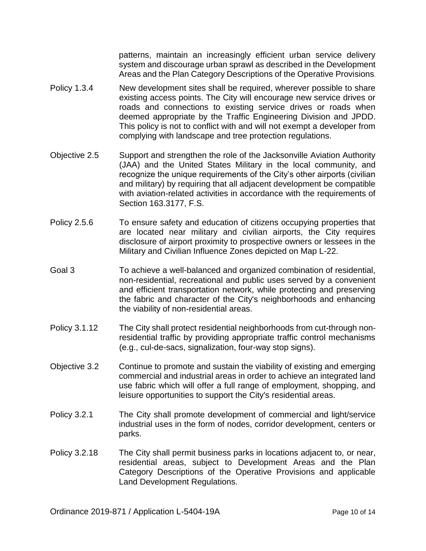patterns, maintain an increasingly efficient urban service delivery system and discourage urban sprawl as described in the Development Areas and the Plan Category Descriptions of the Operative Provisions.

- Policy 1.3.4 New development sites shall be required, wherever possible to share existing access points. The City will encourage new service drives or roads and connections to existing service drives or roads when deemed appropriate by the Traffic Engineering Division and JPDD. This policy is not to conflict with and will not exempt a developer from complying with landscape and tree protection regulations.
- Objective 2.5 Support and strengthen the role of the Jacksonville Aviation Authority (JAA) and the United States Military in the local community, and recognize the unique requirements of the City's other airports (civilian and military) by requiring that all adjacent development be compatible with aviation-related activities in accordance with the requirements of Section 163.3177, F.S.
- Policy 2.5.6 To ensure safety and education of citizens occupying properties that are located near military and civilian airports, the City requires disclosure of airport proximity to prospective owners or lessees in the Military and Civilian Influence Zones depicted on Map L-22.
- Goal 3 To achieve a well-balanced and organized combination of residential, non-residential, recreational and public uses served by a convenient and efficient transportation network, while protecting and preserving the fabric and character of the City's neighborhoods and enhancing the viability of non-residential areas.
- Policy 3.1.12 The City shall protect residential neighborhoods from cut-through nonresidential traffic by providing appropriate traffic control mechanisms (e.g., cul-de-sacs, signalization, four-way stop signs).
- Objective 3.2 Continue to promote and sustain the viability of existing and emerging commercial and industrial areas in order to achieve an integrated land use fabric which will offer a full range of employment, shopping, and leisure opportunities to support the City's residential areas.
- Policy 3.2.1 The City shall promote development of commercial and light/service industrial uses in the form of nodes, corridor development, centers or parks.
- Policy 3.2.18 The City shall permit business parks in locations adjacent to, or near, residential areas, subject to Development Areas and the Plan Category Descriptions of the Operative Provisions and applicable Land Development Regulations.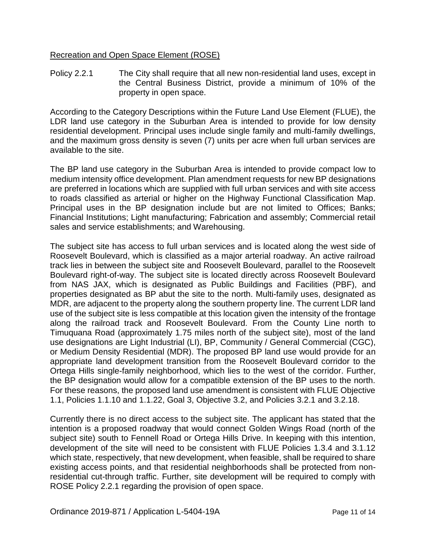### Recreation and Open Space Element (ROSE)

Policy 2.2.1 The City shall require that all new non-residential land uses, except in the Central Business District, provide a minimum of 10% of the property in open space.

According to the Category Descriptions within the Future Land Use Element (FLUE), the LDR land use category in the Suburban Area is intended to provide for low density residential development. Principal uses include single family and multi-family dwellings, and the maximum gross density is seven (7) units per acre when full urban services are available to the site.

The BP land use category in the Suburban Area is intended to provide compact low to medium intensity office development. Plan amendment requests for new BP designations are preferred in locations which are supplied with full urban services and with site access to roads classified as arterial or higher on the Highway Functional Classification Map. Principal uses in the BP designation include but are not limited to Offices; Banks; Financial Institutions; Light manufacturing; Fabrication and assembly; Commercial retail sales and service establishments; and Warehousing.

The subject site has access to full urban services and is located along the west side of Roosevelt Boulevard, which is classified as a major arterial roadway. An active railroad track lies in between the subject site and Roosevelt Boulevard, parallel to the Roosevelt Boulevard right-of-way. The subject site is located directly across Roosevelt Boulevard from NAS JAX, which is designated as Public Buildings and Facilities (PBF), and properties designated as BP abut the site to the north. Multi-family uses, designated as MDR, are adjacent to the property along the southern property line. The current LDR land use of the subject site is less compatible at this location given the intensity of the frontage along the railroad track and Roosevelt Boulevard. From the County Line north to Timuquana Road (approximately 1.75 miles north of the subject site), most of the land use designations are Light Industrial (LI), BP, Community / General Commercial (CGC), or Medium Density Residential (MDR). The proposed BP land use would provide for an appropriate land development transition from the Roosevelt Boulevard corridor to the Ortega Hills single-family neighborhood, which lies to the west of the corridor. Further, the BP designation would allow for a compatible extension of the BP uses to the north. For these reasons, the proposed land use amendment is consistent with FLUE Objective 1.1, Policies 1.1.10 and 1.1.22, Goal 3, Objective 3.2, and Policies 3.2.1 and 3.2.18.

Currently there is no direct access to the subject site. The applicant has stated that the intention is a proposed roadway that would connect Golden Wings Road (north of the subject site) south to Fennell Road or Ortega Hills Drive. In keeping with this intention, development of the site will need to be consistent with FLUE Policies 1.3.4 and 3.1.12 which state, respectively, that new development, when feasible, shall be required to share existing access points, and that residential neighborhoods shall be protected from nonresidential cut-through traffic. Further, site development will be required to comply with ROSE Policy 2.2.1 regarding the provision of open space.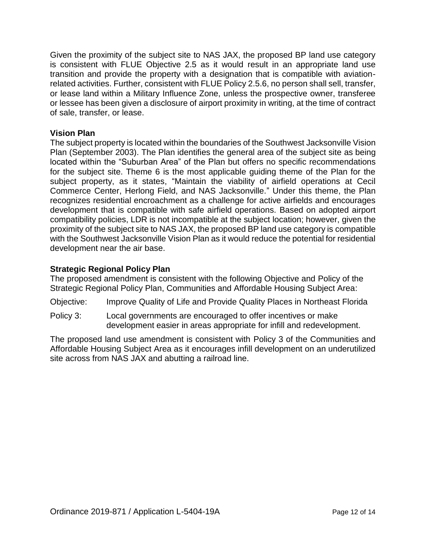Given the proximity of the subject site to NAS JAX, the proposed BP land use category is consistent with FLUE Objective 2.5 as it would result in an appropriate land use transition and provide the property with a designation that is compatible with aviationrelated activities. Further, consistent with FLUE Policy 2.5.6, no person shall sell, transfer, or lease land within a Military Influence Zone, unless the prospective owner, transferee or lessee has been given a disclosure of airport proximity in writing, at the time of contract of sale, transfer, or lease.

### **Vision Plan**

The subject property is located within the boundaries of the Southwest Jacksonville Vision Plan (September 2003). The Plan identifies the general area of the subject site as being located within the "Suburban Area" of the Plan but offers no specific recommendations for the subject site. Theme 6 is the most applicable guiding theme of the Plan for the subject property, as it states, "Maintain the viability of airfield operations at Cecil Commerce Center, Herlong Field, and NAS Jacksonville." Under this theme, the Plan recognizes residential encroachment as a challenge for active airfields and encourages development that is compatible with safe airfield operations. Based on adopted airport compatibility policies, LDR is not incompatible at the subject location; however, given the proximity of the subject site to NAS JAX, the proposed BP land use category is compatible with the Southwest Jacksonville Vision Plan as it would reduce the potential for residential development near the air base.

### **Strategic Regional Policy Plan**

The proposed amendment is consistent with the following Objective and Policy of the Strategic Regional Policy Plan, Communities and Affordable Housing Subject Area:

- Objective: Improve Quality of Life and Provide Quality Places in Northeast Florida
- Policy 3: Local governments are encouraged to offer incentives or make development easier in areas appropriate for infill and redevelopment.

The proposed land use amendment is consistent with Policy 3 of the Communities and Affordable Housing Subject Area as it encourages infill development on an underutilized site across from NAS JAX and abutting a railroad line.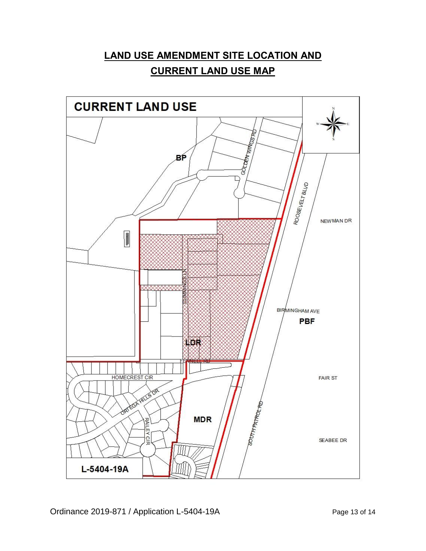# **LAND USE AMENDMENT SITE LOCATION AND CURRENT LAND USE MAP**